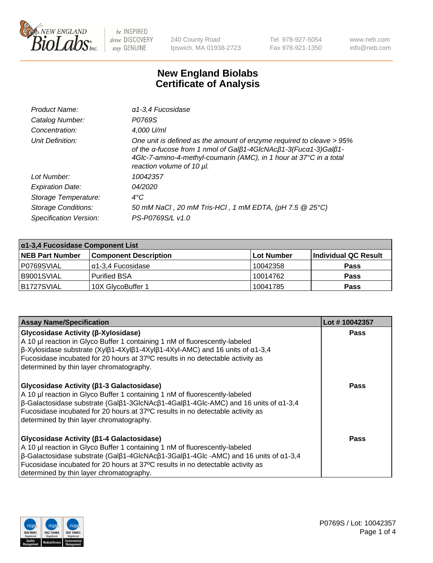

240 County Road Ipswich, MA 01938-2723 Tel 978-927-5054 Fax 978-921-1350 www.neb.com info@neb.com

## **New England Biolabs Certificate of Analysis**

| Product Name:              | $\alpha$ 1-3,4 Fucosidase                                                                                                                                                                                                                  |
|----------------------------|--------------------------------------------------------------------------------------------------------------------------------------------------------------------------------------------------------------------------------------------|
| Catalog Number:            | P0769S                                                                                                                                                                                                                                     |
| Concentration:             | 4,000 U/ml                                                                                                                                                                                                                                 |
| Unit Definition:           | One unit is defined as the amount of enzyme required to cleave > 95%<br>of the a-fucose from 1 nmol of Galß1-4GIcNAcß1-3(Fuca1-3)Galß1-<br>4Glc-7-amino-4-methyl-coumarin (AMC), in 1 hour at 37°C in a total<br>reaction volume of 10 µl. |
| Lot Number:                | 10042357                                                                                                                                                                                                                                   |
| <b>Expiration Date:</b>    | <i>04/2020</i>                                                                                                                                                                                                                             |
| Storage Temperature:       | $4^{\circ}$ C                                                                                                                                                                                                                              |
| <b>Storage Conditions:</b> | 50 mM NaCl, 20 mM Tris-HCl, 1 mM EDTA, (pH 7.5 @ 25°C)                                                                                                                                                                                     |
| Specification Version:     | PS-P0769S/L v1.0                                                                                                                                                                                                                           |

| $\alpha$ 1-3,4 Fucosidase Component List |                              |                   |                      |  |
|------------------------------------------|------------------------------|-------------------|----------------------|--|
| <b>NEB Part Number</b>                   | <b>Component Description</b> | <b>Lot Number</b> | Individual QC Result |  |
| IP0769SVIAL                              | α1-3,4 Fucosidase            | 10042358          | <b>Pass</b>          |  |
| B9001SVIAL                               | l Purified BSA               | 10014762          | <b>Pass</b>          |  |
| B1727SVIAL                               | 10X GlycoBuffer 1            | 10041785          | <b>Pass</b>          |  |

| <b>Assay Name/Specification</b>                                                                                                                                                                                                                                                                                                                      | Lot #10042357 |
|------------------------------------------------------------------------------------------------------------------------------------------------------------------------------------------------------------------------------------------------------------------------------------------------------------------------------------------------------|---------------|
| Glycosidase Activity (β-Xylosidase)<br>A 10 µl reaction in Glyco Buffer 1 containing 1 nM of fluorescently-labeled<br>$\beta$ -Xylosidase substrate (Xylβ1-4Xylβ1-4Xylβ1-4Xyl-AMC) and 16 units of α1-3,4<br>Fucosidase incubated for 20 hours at 37°C results in no detectable activity as<br>determined by thin layer chromatography.              | <b>Pass</b>   |
| Glycosidase Activity (β1-3 Galactosidase)<br>A 10 µl reaction in Glyco Buffer 1 containing 1 nM of fluorescently-labeled<br>$\beta$ -Galactosidase substrate (Galβ1-3GlcNAcβ1-4Galβ1-4Glc-AMC) and 16 units of α1-3,4<br>Fucosidase incubated for 20 hours at 37°C results in no detectable activity as<br>determined by thin layer chromatography.  | Pass          |
| Glycosidase Activity (β1-4 Galactosidase)<br>A 10 µl reaction in Glyco Buffer 1 containing 1 nM of fluorescently-labeled<br>$\beta$ -Galactosidase substrate (Galβ1-4GlcNAcβ1-3Galβ1-4Glc -AMC) and 16 units of α1-3,4<br>Fucosidase incubated for 20 hours at 37°C results in no detectable activity as<br>determined by thin layer chromatography. | Pass          |

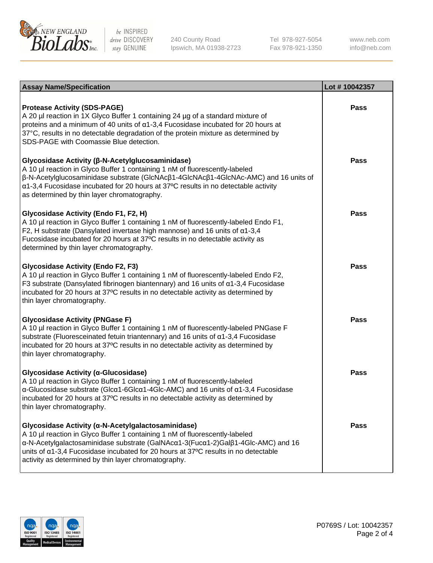

240 County Road Ipswich, MA 01938-2723 Tel 978-927-5054 Fax 978-921-1350

www.neb.com info@neb.com

| <b>Assay Name/Specification</b>                                                                                                                                                                                                                                                                                                                                                     | Lot #10042357 |
|-------------------------------------------------------------------------------------------------------------------------------------------------------------------------------------------------------------------------------------------------------------------------------------------------------------------------------------------------------------------------------------|---------------|
| <b>Protease Activity (SDS-PAGE)</b><br>A 20 µl reaction in 1X Glyco Buffer 1 containing 24 µg of a standard mixture of<br>proteins and a minimum of 40 units of $\alpha$ 1-3,4 Fucosidase incubated for 20 hours at<br>37°C, results in no detectable degradation of the protein mixture as determined by<br>SDS-PAGE with Coomassie Blue detection.                                | <b>Pass</b>   |
| Glycosidase Activity (β-N-Acetylglucosaminidase)<br>A 10 µl reaction in Glyco Buffer 1 containing 1 nM of fluorescently-labeled<br>$\beta$ -N-Acetylglucosaminidase substrate (GIcNAc $\beta$ 1-4GIcNAc $\beta$ 1-4GIcNAc-AMC) and 16 units of<br>α1-3,4 Fucosidase incubated for 20 hours at 37°C results in no detectable activity<br>as determined by thin layer chromatography. | Pass          |
| Glycosidase Activity (Endo F1, F2, H)<br>A 10 µl reaction in Glyco Buffer 1 containing 1 nM of fluorescently-labeled Endo F1,<br>F2, H substrate (Dansylated invertase high mannose) and 16 units of $\alpha$ 1-3,4<br>Fucosidase incubated for 20 hours at 37°C results in no detectable activity as<br>determined by thin layer chromatography.                                   | <b>Pass</b>   |
| <b>Glycosidase Activity (Endo F2, F3)</b><br>A 10 µl reaction in Glyco Buffer 1 containing 1 nM of fluorescently-labeled Endo F2,<br>F3 substrate (Dansylated fibrinogen biantennary) and 16 units of $\alpha$ 1-3,4 Fucosidase<br>incubated for 20 hours at 37°C results in no detectable activity as determined by<br>thin layer chromatography.                                  | <b>Pass</b>   |
| <b>Glycosidase Activity (PNGase F)</b><br>A 10 µl reaction in Glyco Buffer 1 containing 1 nM of fluorescently-labeled PNGase F<br>substrate (Fluoresceinated fetuin triantennary) and 16 units of $\alpha$ 1-3,4 Fucosidase<br>incubated for 20 hours at 37°C results in no detectable activity as determined by<br>thin layer chromatography.                                      | <b>Pass</b>   |
| Glycosidase Activity (α-Glucosidase)<br>A 10 µl reaction in Glyco Buffer 1 containing 1 nM of fluorescently-labeled<br>$\alpha$ -Glucosidase substrate (Glc $\alpha$ 1-6Glc $\alpha$ 1-4Glc-AMC) and 16 units of $\alpha$ 1-3,4 Fucosidase<br>incubated for 20 hours at 37°C results in no detectable activity as determined by<br>thin layer chromatography.                       | Pass          |
| Glycosidase Activity (a-N-Acetylgalactosaminidase)<br>A 10 µl reaction in Glyco Buffer 1 containing 1 nM of fluorescently-labeled<br>α-N-Acetylgalactosaminidase substrate (GalNAcα1-3(Fucα1-2)Galβ1-4Glc-AMC) and 16<br>units of a1-3,4 Fucosidase incubated for 20 hours at 37°C results in no detectable<br>activity as determined by thin layer chromatography.                 | <b>Pass</b>   |

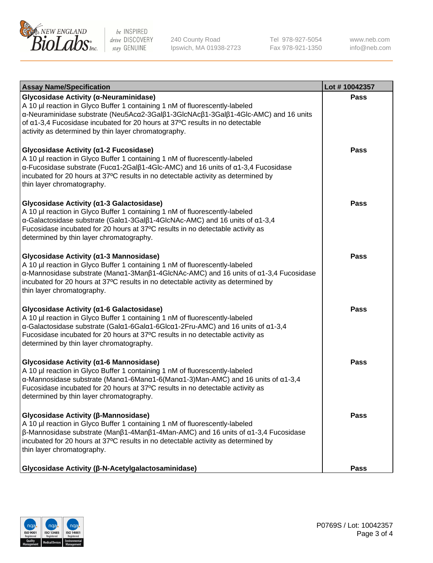

240 County Road Ipswich, MA 01938-2723 Tel 978-927-5054 Fax 978-921-1350

www.neb.com info@neb.com

| <b>Assay Name/Specification</b>                                                                                                                                                                                                                                                                                                                                                    | Lot #10042357 |
|------------------------------------------------------------------------------------------------------------------------------------------------------------------------------------------------------------------------------------------------------------------------------------------------------------------------------------------------------------------------------------|---------------|
| Glycosidase Activity (α-Neuraminidase)<br>A 10 µl reaction in Glyco Buffer 1 containing 1 nM of fluorescently-labeled<br>α-Neuraminidase substrate (Neu5Acα2-3Galβ1-3GlcNAcβ1-3Galβ1-4Glc-AMC) and 16 units<br>of α1-3,4 Fucosidase incubated for 20 hours at 37°C results in no detectable<br>activity as determined by thin layer chromatography.                                | <b>Pass</b>   |
| Glycosidase Activity (a1-2 Fucosidase)<br>A 10 µl reaction in Glyco Buffer 1 containing 1 nM of fluorescently-labeled<br>$\alpha$ -Fucosidase substrate (Fuc $\alpha$ 1-2Gal $\beta$ 1-4Glc-AMC) and 16 units of $\alpha$ 1-3,4 Fucosidase<br>incubated for 20 hours at 37°C results in no detectable activity as determined by<br>thin layer chromatography.                      | Pass          |
| Glycosidase Activity (α1-3 Galactosidase)<br>A 10 µl reaction in Glyco Buffer 1 containing 1 nM of fluorescently-labeled<br>α-Galactosidase substrate (Galα1-3Galβ1-4GlcNAc-AMC) and 16 units of α1-3,4<br>Fucosidase incubated for 20 hours at 37°C results in no detectable activity as<br>determined by thin layer chromatography.                                              | <b>Pass</b>   |
| Glycosidase Activity (α1-3 Mannosidase)<br>A 10 µl reaction in Glyco Buffer 1 containing 1 nM of fluorescently-labeled<br>α-Mannosidase substrate (Manα1-3Manβ1-4GlcNAc-AMC) and 16 units of α1-3,4 Fucosidase<br>incubated for 20 hours at 37°C results in no detectable activity as determined by<br>thin layer chromatography.                                                  | <b>Pass</b>   |
| Glycosidase Activity (a1-6 Galactosidase)<br>A 10 µl reaction in Glyco Buffer 1 containing 1 nM of fluorescently-labeled<br>α-Galactosidase substrate (Galα1-6Galα1-6Glcα1-2Fru-AMC) and 16 units of α1-3,4<br>Fucosidase incubated for 20 hours at 37°C results in no detectable activity as<br>determined by thin layer chromatography.                                          | <b>Pass</b>   |
| Glycosidase Activity (α1-6 Mannosidase)<br>A 10 µl reaction in Glyco Buffer 1 containing 1 nM of fluorescently-labeled<br>$\alpha$ -Mannosidase substrate (Man $\alpha$ 1-6Man $\alpha$ 1-6(Man $\alpha$ 1-3)Man-AMC) and 16 units of $\alpha$ 1-3,4<br>Fucosidase incubated for 20 hours at 37°C results in no detectable activity as<br>determined by thin layer chromatography. | <b>Pass</b>   |
| Glycosidase Activity (β-Mannosidase)<br>A 10 µl reaction in Glyco Buffer 1 containing 1 nM of fluorescently-labeled<br>$\beta$ -Mannosidase substrate (Man $\beta$ 1-4Man $\beta$ 1-4Man-AMC) and 16 units of $\alpha$ 1-3,4 Fucosidase<br>incubated for 20 hours at 37°C results in no detectable activity as determined by<br>thin layer chromatography.                         | Pass          |
| Glycosidase Activity (β-N-Acetylgalactosaminidase)                                                                                                                                                                                                                                                                                                                                 | <b>Pass</b>   |